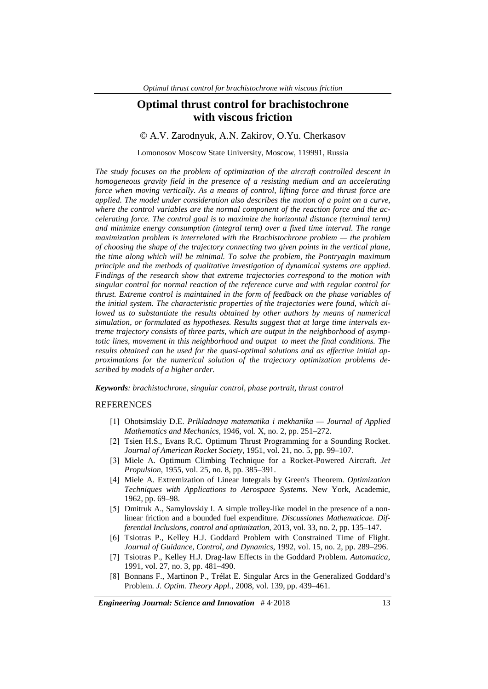## **Optimal thrust control for brachistochrone with viscous friction**

© A.V. Zarodnyuk, A.N. Zakirov, O.Yu. Cherkasov

Lomonosov Moscow State University, Moscow, 119991, Russia

*The study focuses on the problem of optimization of the aircraft controlled descent in homogeneous gravity field in the presence of a resisting medium and an accelerating force when moving vertically. As a means of control, lifting force and thrust force are applied. The model under consideration also describes the motion of a point on a curve, where the control variables are the normal component of the reaction force and the accelerating force. The control goal is to maximize the horizontal distance (terminal term) and minimize energy consumption (integral term) over a fixed time interval. The range maximization problem is interrelated with the Brachistochrone problem — the problem of choosing the shape of the trajectory connecting two given points in the vertical plane, the time along which will be minimal. To solve the problem, the Pontryagin maximum principle and the methods of qualitative investigation of dynamical systems are applied. Findings of the research show that extreme trajectories correspond to the motion with singular control for normal reaction of the reference curve and with regular control for thrust. Extreme control is maintained in the form of feedback on the phase variables of the initial system. The characteristic properties of the trajectories were found, which allowed us to substantiate the results obtained by other authors by means of numerical simulation, or formulated as hypotheses. Results suggest that at large time intervals extreme trajectory consists of three parts, which are output in the neighborhood of asymptotic lines, movement in this neighborhood and output to meet the final conditions. The results obtained can be used for the quasi-optimal solutions and as effective initial approximations for the numerical solution of the trajectory optimization problems described by models of a higher order.* 

*Keywords: brachistochrone, singular control, phase portrait, thrust control*

## **REFERENCES**

- [1] Ohotsimskiy D.Е. *Prikladnaya matematika i mekhanika — Journal of Applied Mathematics and Mechanics*, 1946, vol. Х, no. 2, pp. 251–272.
- [2] Tsien H.S., Evans R.C. Optimum Thrust Programming for a Sounding Rocket. *Journal of American Rocket Society*, 1951, vol. 21, no. 5, pp. 99–107.
- [3] Miele A. Optimum Climbing Technique for a Rocket-Powered Aircraft. *Jet Propulsion*, 1955, vol. 25, no. 8, pp. 385–391.
- [4] Miele A. Extremization of Linear Integrals by Green's Theorem. *Optimization Techniques with Applications to Aerospace Systems*. New York, Academic, 1962, pp. 69–98.
- [5] Dmitruk A., Samylovskiy I. A simple trolley-like model in the presence of a nonlinear friction and a bounded fuel expenditure. *Discussiones Mathematicae. Differential Inclusions, control and optimization,* 2013, vol. 33, no. 2, pp. 135–147.
- [6] Tsiotras P., Kelley H.J. Goddard Problem with Constrained Time of Flight*. Journal of Guidance*, *Control*, *and Dynamics*, 1992, vol. 15, no. 2, pp. 289–296.
- [7] Tsiotras P., Kelley H.J. Drag-law Effects in the Goddard Problem. *Automatica*, 1991, vol. 27, no. 3, pp. 481–490.
- [8] Bonnans F., Martinon P., Trélat E. Singular Arcs in the Generalized Goddard's Problem. *J. Optim. Theory Appl.*, 2008, vol. 139, pp. 439–461.

*Engineering Journal: Science and Innovation* #4.2018 13